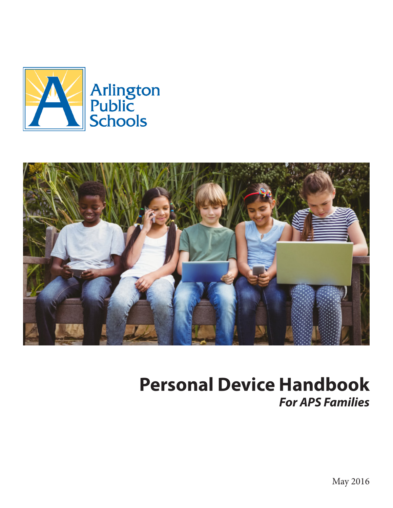



# **Personal Device Handbook** *For APS Families*

May 2016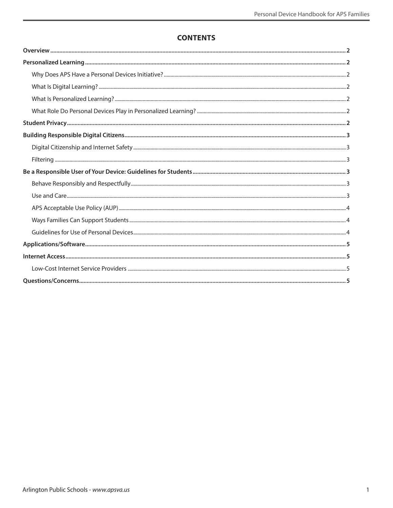# **CONTENTS**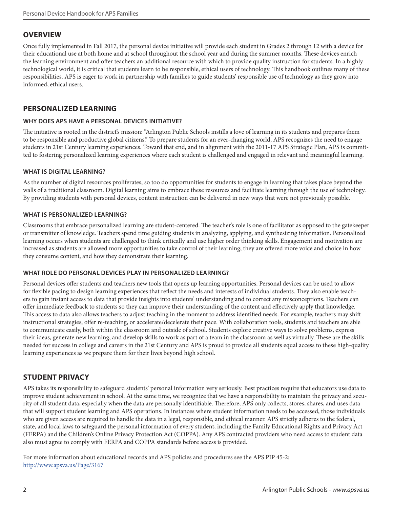# <span id="page-2-0"></span>**OVERVIEW**

Once fully implemented in Fall 2017, the personal device initiative will provide each student in Grades 2 through 12 with a device for their educational use at both home and at school throughout the school year and during the summer months. These devices enrich the learning environment and offer teachers an additional resource with which to provide quality instruction for students. In a highly technological world, it is critical that students learn to be responsible, ethical users of technology. This handbook outlines many of these responsibilities. APS is eager to work in partnership with families to guide students' responsible use of technology as they grow into informed, ethical users.

# **PERSONALIZED LEARNING**

## **WHY DOES APS HAVE A PERSONAL DEVICES INITIATIVE?**

The initiative is rooted in the district's mission: "Arlington Public Schools instills a love of learning in its students and prepares them to be responsible and productive global citizens." To prepare students for an ever-changing world, APS recognizes the need to engage students in 21st Century learning experiences. Toward that end, and in alignment with the 2011-17 APS Strategic Plan, APS is committed to fostering personalized learning experiences where each student is challenged and engaged in relevant and meaningful learning.

#### **WHAT IS DIGITAL LEARNING?**

As the number of digital resources proliferates, so too do opportunities for students to engage in learning that takes place beyond the walls of a traditional classroom. Digital learning aims to embrace these resources and facilitate learning through the use of technology. By providing students with personal devices, content instruction can be delivered in new ways that were not previously possible.

#### **WHAT IS PERSONALIZED LEARNING?**

Classrooms that embrace personalized learning are student-centered. The teacher's role is one of facilitator as opposed to the gatekeeper or transmitter of knowledge. Teachers spend time guiding students in analyzing, applying, and synthesizing information. Personalized learning occurs when students are challenged to think critically and use higher order thinking skills. Engagement and motivation are increased as students are allowed more opportunities to take control of their learning; they are offered more voice and choice in how they consume content, and how they demonstrate their learning.

## **WHAT ROLE DO PERSONAL DEVICES PLAY IN PERSONALIZED LEARNING?**

Personal devices offer students and teachers new tools that opens up learning opportunities. Personal devices can be used to allow for flexible pacing to design learning experiences that reflect the needs and interests of individual students. They also enable teachers to gain instant access to data that provide insights into students' understanding and to correct any misconceptions. Teachers can offer immediate feedback to students so they can improve their understanding of the content and effectively apply that knowledge. This access to data also allows teachers to adjust teaching in the moment to address identified needs. For example, teachers may shift instructional strategies, offer re-teaching, or accelerate/decelerate their pace. With collaboration tools, students and teachers are able to communicate easily, both within the classroom and outside of school. Students explore creative ways to solve problems, express their ideas, generate new learning, and develop skills to work as part of a team in the classroom as well as virtually. These are the skills needed for success in college and careers in the 21st Century and APS is proud to provide all students equal access to these high-quality learning experiences as we prepare them for their lives beyond high school.

## **STUDENT PRIVACY**

APS takes its responsibility to safeguard students' personal information very seriously. Best practices require that educators use data to improve student achievement in school. At the same time, we recognize that we have a responsibility to maintain the privacy and security of all student data, especially when the data are personally identifiable. Therefore, APS only collects, stores, shares, and uses data that will support student learning and APS operations. In instances where student information needs to be accessed, those individuals who are given access are required to handle the data in a legal, responsible, and ethical manner. APS strictly adheres to the federal, state, and local laws to safeguard the personal information of every student, including the Family Educational Rights and Privacy Act (FERPA) and the Children's Online Privacy Protection Act (COPPA). Any APS contracted providers who need access to student data also must agree to comply with FERPA and COPPA standards before access is provided.

For more information about educational records and APS policies and procedures see the APS PIP 45-2: http://www.apsva.us/Page/3167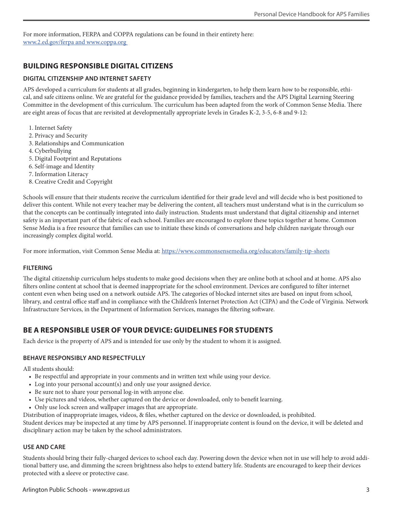<span id="page-3-0"></span>For more information, FERPA and COPPA regulations can be found in their entirety here: www.2.ed.gov/ferpa and www.coppa.org

# **BUILDING RESPONSIBLE DIGITAL CITIZENS**

#### **DIGITAL CITIZENSHIP AND INTERNET SAFETY**

APS developed a curriculum for students at all grades, beginning in kindergarten, to help them learn how to be responsible, ethical, and safe citizens online. We are grateful for the guidance provided by families, teachers and the APS Digital Learning Steering Committee in the development of this curriculum. The curriculum has been adapted from the work of Common Sense Media. There are eight areas of focus that are revisited at developmentally appropriate levels in Grades K-2, 3-5, 6-8 and 9-12:

- 1. Internet Safety
- 2. Privacy and Security
- 3. Relationships and Communication
- 4. Cyberbullying
- 5. Digital Footprint and Reputations
- 6. Self-image and Identity
- 7. Information Literacy
- 8. Creative Credit and Copyright

Schools will ensure that their students receive the curriculum identified for their grade level and will decide who is best positioned to deliver this content. While not every teacher may be delivering the content, all teachers must understand what is in the curriculum so that the concepts can be continually integrated into daily instruction. Students must understand that digital citizenship and internet safety is an important part of the fabric of each school. Families are encouraged to explore these topics together at home. Common Sense Media is a free resource that families can use to initiate these kinds of conversations and help children navigate through our increasingly complex digital world.

For more information, visit Common Sense Media at: https://www.commonsensemedia.org/educators/family-tip-sheets

## **FILTERING**

The digital citizenship curriculum helps students to make good decisions when they are online both at school and at home. APS also filters online content at school that is deemed inappropriate for the school environment. Devices are configured to filter internet content even when being used on a network outside APS. The categories of blocked internet sites are based on input from school, library, and central office staff and in compliance with the Children's Internet Protection Act (CIPA) and the Code of Virginia. Network Infrastructure Services, in the Department of Information Services, manages the filtering software.

# **BE A RESPONSIBLE USER OF YOUR DEVICE: GUIDELINES FOR STUDENTS**

Each device is the property of APS and is intended for use only by the student to whom it is assigned.

#### **BEHAVE RESPONSIBLY AND RESPECTFULLY**

All students should:

- Be respectful and appropriate in your comments and in written text while using your device.
- Log into your personal account(s) and only use your assigned device.
- Be sure not to share your personal log-in with anyone else.
- Use pictures and videos, whether captured on the device or downloaded, only to benefit learning.
- Only use lock screen and wallpaper images that are appropriate.

Distribution of inappropriate images, videos, & files, whether captured on the device or downloaded, is prohibited.

Student devices may be inspected at any time by APS personnel. If inappropriate content is found on the device, it will be deleted and disciplinary action may be taken by the school administrators.

#### **USE AND CARE**

Students should bring their fully-charged devices to school each day. Powering down the device when not in use will help to avoid additional battery use, and dimming the screen brightness also helps to extend battery life. Students are encouraged to keep their devices protected with a sleeve or protective case.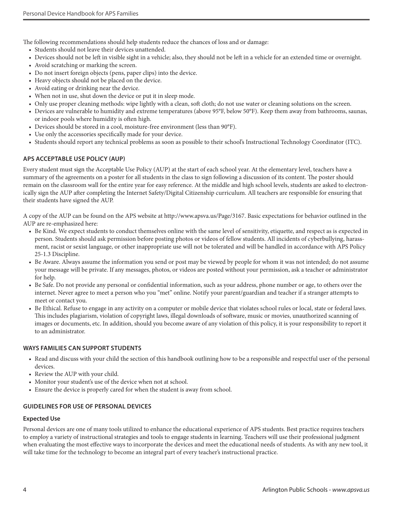<span id="page-4-0"></span>The following recommendations should help students reduce the chances of loss and or damage:

- Students should not leave their devices unattended.
- Devices should not be left in visible sight in a vehicle; also, they should not be left in a vehicle for an extended time or overnight.
- Avoid scratching or marking the screen.
- Do not insert foreign objects (pens, paper clips) into the device.
- Heavy objects should not be placed on the device.
- Avoid eating or drinking near the device.
- When not in use, shut down the device or put it in sleep mode.
- Only use proper cleaning methods: wipe lightly with a clean, soft cloth; do not use water or cleaning solutions on the screen.
- Devices are vulnerable to humidity and extreme temperatures (above 95°F, below 50°F). Keep them away from bathrooms, saunas, or indoor pools where humidity is often high.
- Devices should be stored in a cool, moisture-free environment (less than 90°F).
- Use only the accessories specifically made for your device.
- Students should report any technical problems as soon as possible to their school's Instructional Technology Coordinator (ITC).

## **APS ACCEPTABLE USE POLICY (AUP)**

Every student must sign the Acceptable Use Policy (AUP) at the start of each school year. At the elementary level, teachers have a summary of the agreements on a poster for all students in the class to sign following a discussion of its content. The poster should remain on the classroom wall for the entire year for easy reference. At the middle and high school levels, students are asked to electronically sign the AUP after completing the Internet Safety/Digital Citizenship curriculum. All teachers are responsible for ensuring that their students have signed the AUP.

A copy of the AUP can be found on the APS website at http://www.apsva.us/Page/3167. Basic expectations for behavior outlined in the AUP are re-emphasized here:

- Be Kind. We expect students to conduct themselves online with the same level of sensitivity, etiquette, and respect as is expected in person. Students should ask permission before posting photos or videos of fellow students. All incidents of cyberbullying, harassment, racist or sexist language, or other inappropriate use will not be tolerated and will be handled in accordance with APS Policy 25-1.3 Discipline.
- Be Aware. Always assume the information you send or post may be viewed by people for whom it was not intended; do not assume your message will be private. If any messages, photos, or videos are posted without your permission, ask a teacher or administrator for help.
- Be Safe. Do not provide any personal or confidential information, such as your address, phone number or age, to others over the internet. Never agree to meet a person who you "met" online. Notify your parent/guardian and teacher if a stranger attempts to meet or contact you.
- Be Ethical. Refuse to engage in any activity on a computer or mobile device that violates school rules or local, state or federal laws. This includes plagiarism, violation of copyright laws, illegal downloads of software, music or movies, unauthorized scanning of images or documents, etc. In addition, should you become aware of any violation of this policy, it is your responsibility to report it to an administrator.

#### **WAYS FAMILIES CAN SUPPORT STUDENTS**

- Read and discuss with your child the section of this handbook outlining how to be a responsible and respectful user of the personal devices.
- Review the AUP with your child.
- Monitor your student's use of the device when not at school.
- Ensure the device is properly cared for when the student is away from school.

## **GUIDELINES FOR USE OF PERSONAL DEVICES**

#### **Expected Use**

Personal devices are one of many tools utilized to enhance the educational experience of APS students. Best practice requires teachers to employ a variety of instructional strategies and tools to engage students in learning. Teachers will use their professional judgment when evaluating the most effective ways to incorporate the devices and meet the educational needs of students. As with any new tool, it will take time for the technology to become an integral part of every teacher's instructional practice.